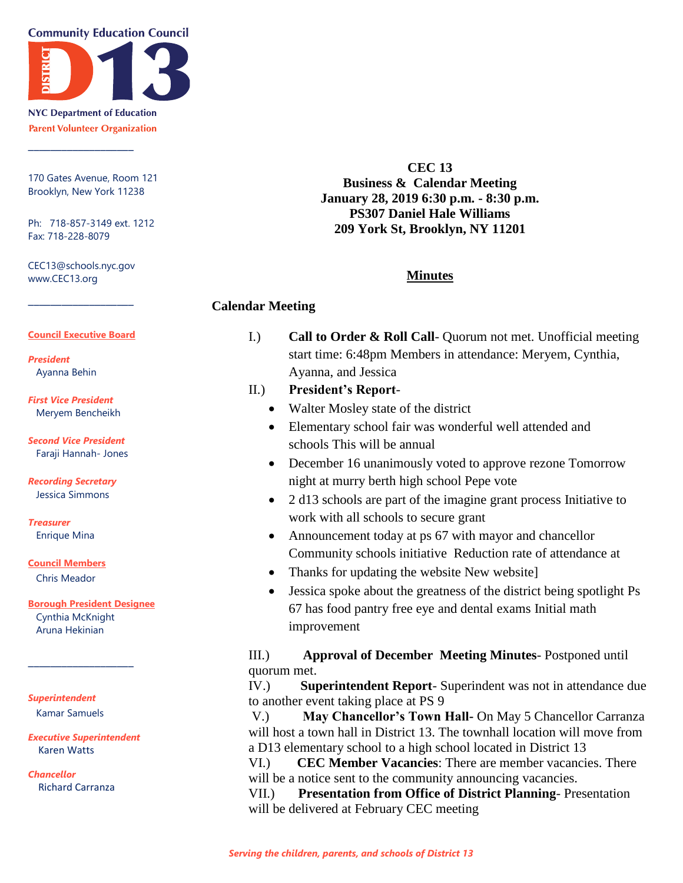**Community Education Council** 



**NYC Department of Education Parent Volunteer Organization** 

\_\_\_\_\_\_\_\_\_\_\_\_\_\_\_\_\_\_\_

170 Gates Avenue, Room 121 Brooklyn, New York 11238

Ph: 718-857-3149 ext. 1212 Fax: 718-228-8079

CEC13@schools.nyc.gov www.CEC13.org

 $\overline{\phantom{a}}$  , where  $\overline{\phantom{a}}$ 

#### **Council Executive Board**

*President* Ayanna Behin

*First Vice President* Meryem Bencheikh

*Second Vice President* Faraji Hannah- Jones

#### *Recording Secretary* Jessica Simmons

*Treasurer* Enrique Mina

**Council Members**

Chris Meador

**Borough President Designee**

Cynthia McKnight Aruna Hekinian

\_\_\_\_\_\_\_\_\_\_\_\_\_\_\_\_\_\_\_

#### *Superintendent* Kamar Samuels

*Executive Superintendent* Karen Watts

*Chancellor* Richard Carranza

**CEC 13 Business & Calendar Meeting January 28, 2019 6:30 p.m. - 8:30 p.m. PS307 Daniel Hale Williams 209 York St, Brooklyn, NY 11201**

## **Minutes**

## **Calendar Meeting**

I.) **Call to Order & Roll Call**- Quorum not met. Unofficial meeting start time: 6:48pm Members in attendance: Meryem, Cynthia, Ayanna, and Jessica

## II.) **President's Report**-

- Walter Mosley state of the district
- Elementary school fair was wonderful well attended and schools This will be annual
- December 16 unanimously voted to approve rezone Tomorrow night at murry berth high school Pepe vote
- 2 d13 schools are part of the imagine grant process Initiative to work with all schools to secure grant
- Announcement today at ps 67 with mayor and chancellor Community schools initiative Reduction rate of attendance at
- Thanks for updating the website New website]
- Jessica spoke about the greatness of the district being spotlight Ps 67 has food pantry free eye and dental exams Initial math improvement

III.) **Approval of December Meeting Minutes**- Postponed until quorum met.

IV.) **Superintendent Report**- Superindent was not in attendance due to another event taking place at PS 9

V.) **May Chancellor's Town Hall-** On May 5 Chancellor Carranza will host a town hall in District 13. The townhall location will move from a D13 elementary school to a high school located in District 13

VI.) **CEC Member Vacancies**: There are member vacancies. There will be a notice sent to the community announcing vacancies.

VII.) **Presentation from Office of District Planning**- Presentation will be delivered at February CEC meeting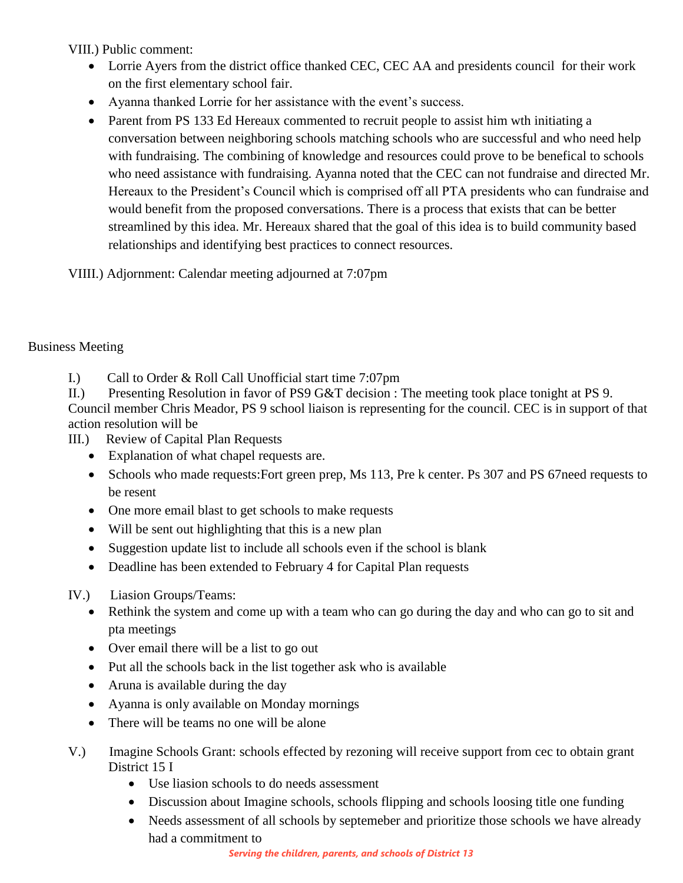VIII.) Public comment:

- Lorrie Ayers from the district office thanked CEC, CEC AA and presidents council for their work on the first elementary school fair.
- Ayanna thanked Lorrie for her assistance with the event's success.
- Parent from PS 133 Ed Hereaux commented to recruit people to assist him wth initiating a conversation between neighboring schools matching schools who are successful and who need help with fundraising. The combining of knowledge and resources could prove to be benefical to schools who need assistance with fundraising. Ayanna noted that the CEC can not fundraise and directed Mr. Hereaux to the President's Council which is comprised off all PTA presidents who can fundraise and would benefit from the proposed conversations. There is a process that exists that can be better streamlined by this idea. Mr. Hereaux shared that the goal of this idea is to build community based relationships and identifying best practices to connect resources.

VIIII.) Adjornment: Calendar meeting adjourned at 7:07pm

# Business Meeting

I.) Call to Order & Roll Call Unofficial start time 7:07pm

II.) Presenting Resolution in favor of PS9 G&T decision : The meeting took place tonight at PS 9. Council member Chris Meador, PS 9 school liaison is representing for the council. CEC is in support of that action resolution will be

III.) Review of Capital Plan Requests

- Explanation of what chapel requests are.
- Schools who made requests: Fort green prep, Ms 113, Pre k center. Ps 307 and PS 67 need requests to be resent
- One more email blast to get schools to make requests
- Will be sent out highlighting that this is a new plan
- Suggestion update list to include all schools even if the school is blank
- Deadline has been extended to February 4 for Capital Plan requests
- IV.) Liasion Groups/Teams:
	- Rethink the system and come up with a team who can go during the day and who can go to sit and pta meetings
	- Over email there will be a list to go out
	- Put all the schools back in the list together ask who is available
	- Aruna is available during the day
	- Ayanna is only available on Monday mornings
	- There will be teams no one will be alone
- V.) Imagine Schools Grant: schools effected by rezoning will receive support from cec to obtain grant District 15 I
	- Use liasion schools to do needs assessment
	- Discussion about Imagine schools, schools flipping and schools loosing title one funding
	- Needs assessment of all schools by septemeber and prioritize those schools we have already had a commitment to